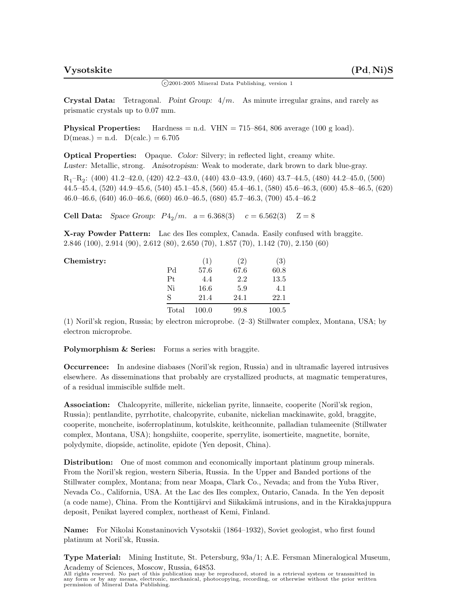$\binom{c}{2001}$ -2005 Mineral Data Publishing, version 1

**Crystal Data:** Tetragonal. *Point Group:* 4*/m.* As minute irregular grains, and rarely as prismatic crystals up to 0.07 mm.

**Physical Properties:** Hardness = n.d.  $VHN = 715-864$ , 806 average (100 g load).  $D(meas.) = n.d.$   $D(calc.) = 6.705$ 

**Optical Properties:** Opaque. *Color:* Silvery; in reflected light, creamy white. *Luster:* Metallic, strong. *Anisotropism:* Weak to moderate, dark brown to dark blue-gray. R1–R2: (400) 41.2–42.0, (420) 42.2–43.0, (440) 43.0–43.9, (460) 43.7–44.5, (480) 44.2–45.0, (500) 44.5–45.4, (520) 44.9–45.6, (540) 45.1–45.8, (560) 45.4–46.1, (580) 45.6–46.3, (600) 45.8–46.5, (620) 46.0–46.6, (640) 46.0–46.6, (660) 46.0–46.5, (680) 45.7–46.3, (700) 45.4–46.2

**Cell Data:** *Space Group:*  $P_{4_2}/m$ .  $a = 6.368(3)$   $c = 6.562(3)$   $Z = 8$ 

**X-ray Powder Pattern:** Lac des Iles complex, Canada. Easily confused with braggite. 2.846 (100), 2.914 (90), 2.612 (80), 2.650 (70), 1.857 (70), 1.142 (70), 2.150 (60)

| Chemistry: |       | (1    | (2)  | $\left( 3\right)$ |
|------------|-------|-------|------|-------------------|
|            | Pd    | 57.6  | 67.6 | 60.8              |
|            | Pt    | 4.4   | 2.2  | 13.5              |
|            | Ni    | 16.6  | 5.9  | 4.1               |
|            | S     | 21.4  | 24.1 | 22.1              |
|            | Total | 100.0 | 99.8 | 100.5             |

(1) Noril'sk region, Russia; by electron microprobe. (2–3) Stillwater complex, Montana, USA; by electron microprobe.

**Polymorphism & Series:** Forms a series with braggite.

**Occurrence:** In andesine diabases (Noril'sk region, Russia) and in ultramafic layered intrusives elsewhere. As disseminations that probably are crystallized products, at magmatic temperatures, of a residual immiscible sulfide melt.

**Association:** Chalcopyrite, millerite, nickelian pyrite, linnaeite, cooperite (Noril'sk region, Russia); pentlandite, pyrrhotite, chalcopyrite, cubanite, nickelian mackinawite, gold, braggite, cooperite, moncheite, isoferroplatinum, kotulskite, keithconnite, palladian tulameenite (Stillwater complex, Montana, USA); hongshiite, cooperite, sperrylite, isomertieite, magnetite, bornite, polydymite, diopside, actinolite, epidote (Yen deposit, China).

**Distribution:** One of most common and economically important platinum group minerals. From the Noril'sk region, western Siberia, Russia. In the Upper and Banded portions of the Stillwater complex, Montana; from near Moapa, Clark Co., Nevada; and from the Yuba River, Nevada Co., California, USA. At the Lac des Iles complex, Ontario, Canada. In the Yen deposit (a code name), China. From the Konttijärvi and Siikakämä intrusions, and in the Kirakkajuppura deposit, Penikat layered complex, northeast of Kemi, Finland.

**Name:** For Nikolai Konstaninovich Vysotskii (1864–1932), Soviet geologist, who first found platinum at Noril'sk, Russia.

**Type Material:** Mining Institute, St. Petersburg, 93a/1; A.E. Fersman Mineralogical Museum, Academy of Sciences, Moscow, Russia, 64853.

All rights reserved. No part of this publication may be reproduced, stored in a retrieval system or transmitted in any form or by any means, electronic, mechanical, photocopying, recording, or otherwise without the prior written permission of Mineral Data Publishing.